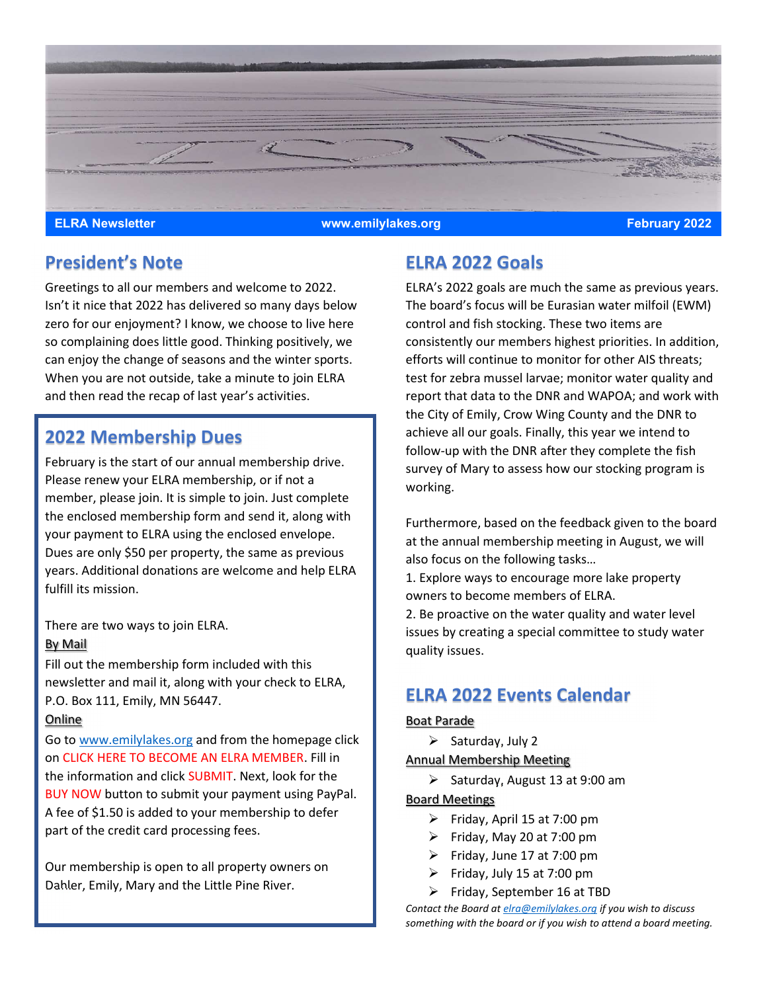

### President's Note

Greetings to all our members and welcome to 2022. Isn't it nice that 2022 has delivered so many days below zero for our enjoyment? I know, we choose to live here so complaining does little good. Thinking positively, we can enjoy the change of seasons and the winter sports. When you are not outside, take a minute to join ELRA and then read the recap of last year's activities.

## 2022 Membership Dues

February is the start of our annual membership drive. Please renew your ELRA membership, or if not a member, please join. It is simple to join. Just complete the enclosed membership form and send it, along with your payment to ELRA using the enclosed envelope. Dues are only \$50 per property, the same as previous years. Additional donations are welcome and help ELRA fulfill its mission.

There are two ways to join ELRA.

### By Mail

Fill out the membership form included with this newsletter and mail it, along with your check to ELRA, P.O. Box 111, Emily, MN 56447.

### Online

Go to www.emilylakes.org and from the homepage click on CLICK HERE TO BECOME AN ELRA MEMBER. Fill in the information and click SUBMIT. Next, look for the BUY NOW button to submit your payment using PayPal. A fee of \$1.50 is added to your membership to defer part of the credit card processing fees.

Our membership is open to all property owners on Dahler, Emily, Mary and the Little Pine River.

# ELRA 2022 Goals

ELRA's 2022 goals are much the same as previous years. The board's focus will be Eurasian water milfoil (EWM) control and fish stocking. These two items are consistently our members highest priorities. In addition, efforts will continue to monitor for other AIS threats; test for zebra mussel larvae; monitor water quality and report that data to the DNR and WAPOA; and work with the City of Emily, Crow Wing County and the DNR to achieve all our goals. Finally, this year we intend to follow-up with the DNR after they complete the fish survey of Mary to assess how our stocking program is working.

Furthermore, based on the feedback given to the board at the annual membership meeting in August, we will also focus on the following tasks… 1. Explore ways to encourage more lake property owners to become members of ELRA. 2. Be proactive on the water quality and water level

issues by creating a special committee to study water quality issues.

## ELRA 2022 Events Calendar

#### Boat Parade

 $\triangleright$  Saturday, July 2

Annual Membership Meeting

 $\triangleright$  Saturday, August 13 at 9:00 am

#### Board Meetings

- $\triangleright$  Friday, April 15 at 7:00 pm
- $\triangleright$  Friday, May 20 at 7:00 pm
- $\triangleright$  Friday, June 17 at 7:00 pm
- $\triangleright$  Friday, July 15 at 7:00 pm
- $\triangleright$  Friday, September 16 at TBD

Contact the Board at elra@emilylakes.org if you wish to discuss something with the board or if you wish to attend a board meeting.